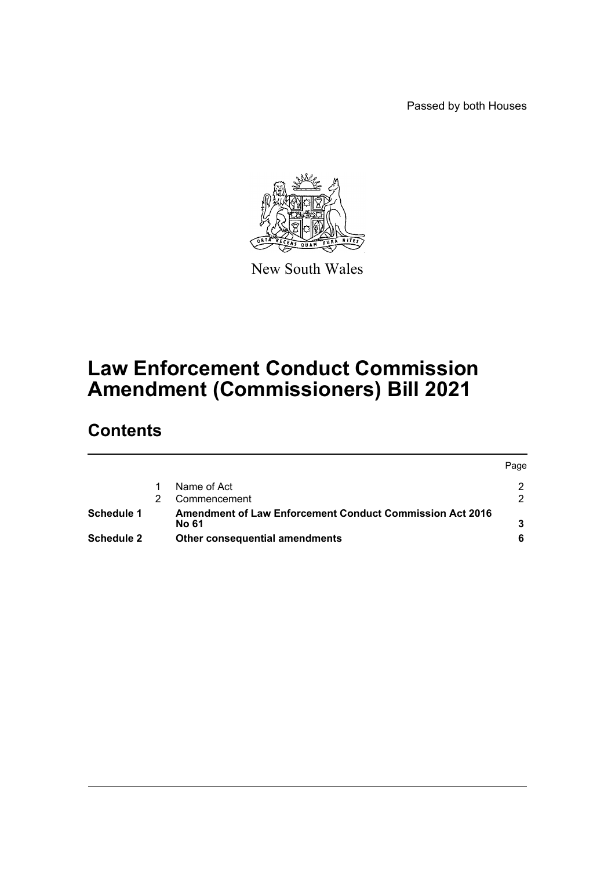Passed by both Houses



New South Wales

# **Law Enforcement Conduct Commission Amendment (Commissioners) Bill 2021**

# **Contents**

|                   |                                                                          | Page |
|-------------------|--------------------------------------------------------------------------|------|
|                   | Name of Act                                                              |      |
|                   | Commencement                                                             |      |
| Schedule 1        | <b>Amendment of Law Enforcement Conduct Commission Act 2016</b><br>No 61 |      |
| <b>Schedule 2</b> | Other consequential amendments                                           |      |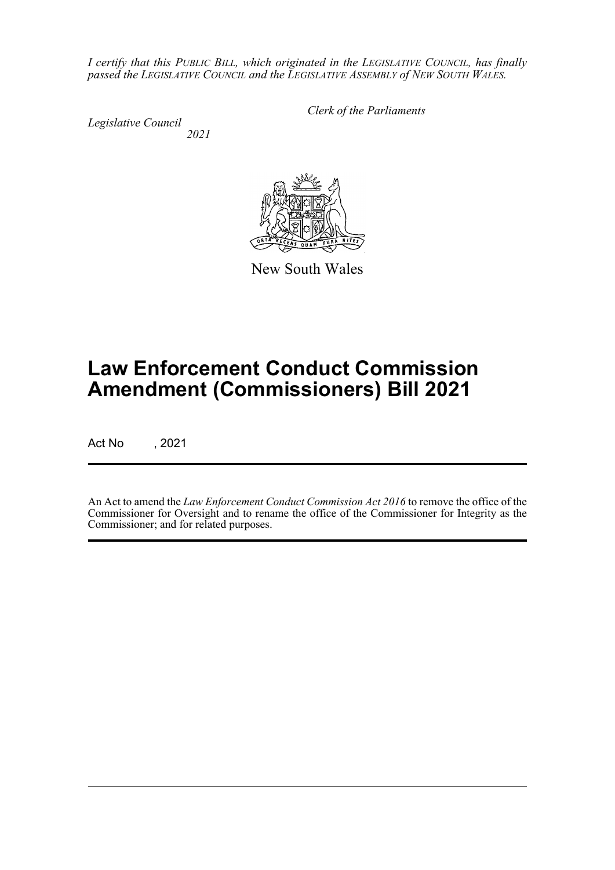*I certify that this PUBLIC BILL, which originated in the LEGISLATIVE COUNCIL, has finally passed the LEGISLATIVE COUNCIL and the LEGISLATIVE ASSEMBLY of NEW SOUTH WALES.*

*Legislative Council 2021* *Clerk of the Parliaments*

New South Wales

# **Law Enforcement Conduct Commission Amendment (Commissioners) Bill 2021**

Act No , 2021

An Act to amend the *Law Enforcement Conduct Commission Act 2016* to remove the office of the Commissioner for Oversight and to rename the office of the Commissioner for Integrity as the Commissioner; and for related purposes.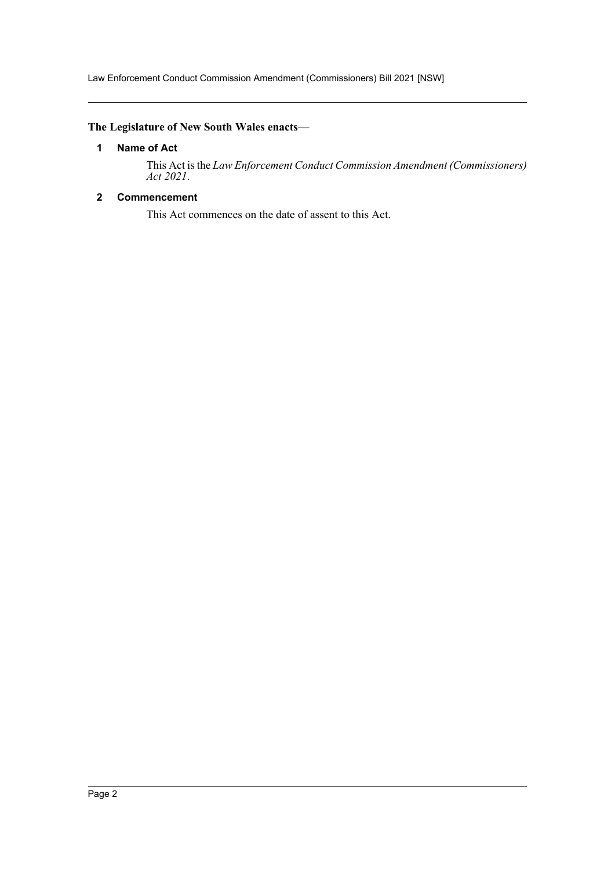Law Enforcement Conduct Commission Amendment (Commissioners) Bill 2021 [NSW]

# <span id="page-2-0"></span>**The Legislature of New South Wales enacts—**

### **1 Name of Act**

This Act is the *Law Enforcement Conduct Commission Amendment (Commissioners) Act 2021*.

# <span id="page-2-1"></span>**2 Commencement**

This Act commences on the date of assent to this Act.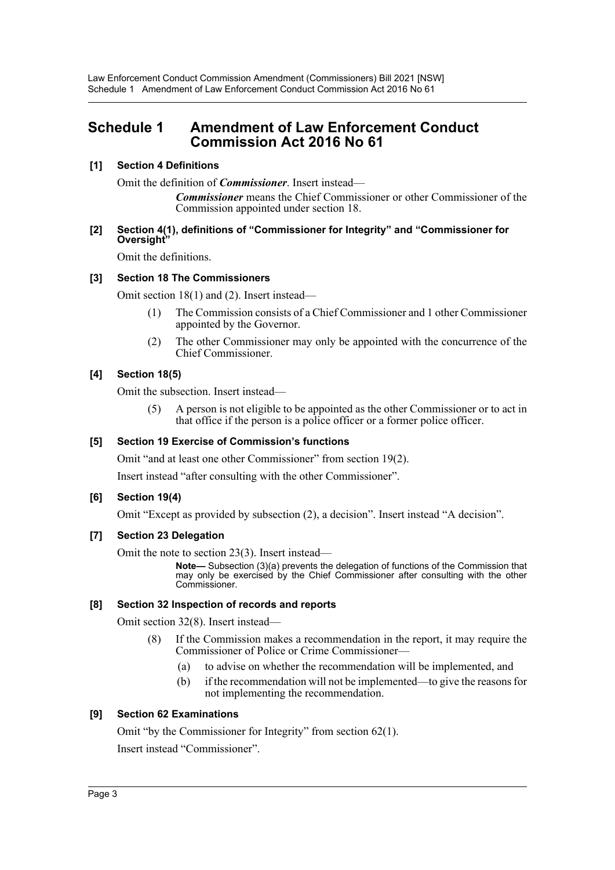# <span id="page-3-0"></span>**Schedule 1 Amendment of Law Enforcement Conduct Commission Act 2016 No 61**

# **[1] Section 4 Definitions**

Omit the definition of *Commissioner*. Insert instead—

*Commissioner* means the Chief Commissioner or other Commissioner of the Commission appointed under section 18.

### **[2] Section 4(1), definitions of "Commissioner for Integrity" and "Commissioner for Oversight"**

Omit the definitions.

## **[3] Section 18 The Commissioners**

Omit section 18(1) and (2). Insert instead—

- (1) The Commission consists of a Chief Commissioner and 1 other Commissioner appointed by the Governor.
- (2) The other Commissioner may only be appointed with the concurrence of the Chief Commissioner.

# **[4] Section 18(5)**

Omit the subsection. Insert instead—

(5) A person is not eligible to be appointed as the other Commissioner or to act in that office if the person is a police officer or a former police officer.

## **[5] Section 19 Exercise of Commission's functions**

Omit "and at least one other Commissioner" from section 19(2).

Insert instead "after consulting with the other Commissioner".

## **[6] Section 19(4)**

Omit "Except as provided by subsection (2), a decision". Insert instead "A decision".

## **[7] Section 23 Delegation**

Omit the note to section 23(3). Insert instead—

**Note—** Subsection (3)(a) prevents the delegation of functions of the Commission that may only be exercised by the Chief Commissioner after consulting with the other Commissioner.

## **[8] Section 32 Inspection of records and reports**

Omit section 32(8). Insert instead—

- (8) If the Commission makes a recommendation in the report, it may require the Commissioner of Police or Crime Commissioner—
	- (a) to advise on whether the recommendation will be implemented, and
	- (b) if the recommendation will not be implemented—to give the reasons for not implementing the recommendation.

## **[9] Section 62 Examinations**

Omit "by the Commissioner for Integrity" from section 62(1).

Insert instead "Commissioner".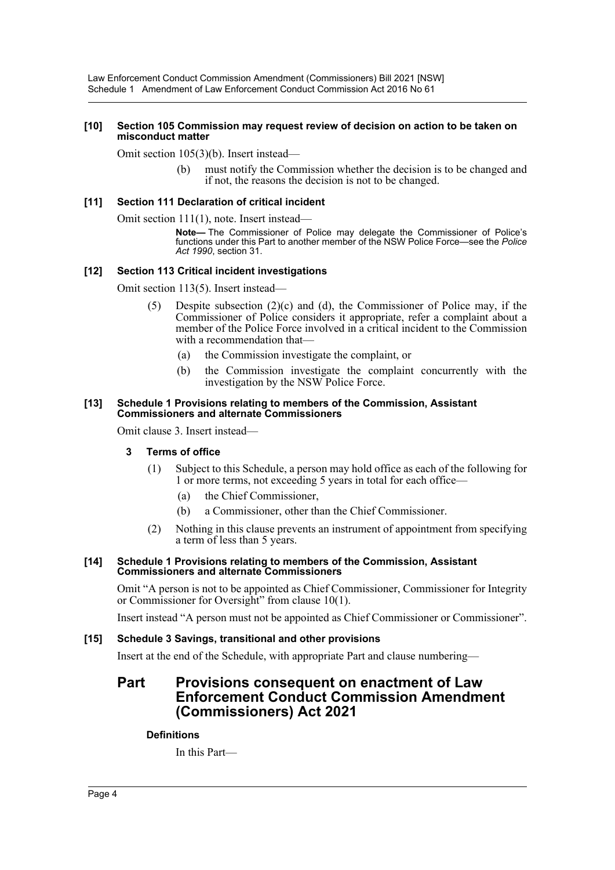#### **[10] Section 105 Commission may request review of decision on action to be taken on misconduct matter**

Omit section 105(3)(b). Insert instead—

(b) must notify the Commission whether the decision is to be changed and if not, the reasons the decision is not to be changed.

#### **[11] Section 111 Declaration of critical incident**

Omit section 111(1), note. Insert instead—

**Note—** The Commissioner of Police may delegate the Commissioner of Police's functions under this Part to another member of the NSW Police Force—see the *Police Act 1990*, section 31.

#### **[12] Section 113 Critical incident investigations**

Omit section 113(5). Insert instead—

- (5) Despite subsection (2)(c) and (d), the Commissioner of Police may, if the Commissioner of Police considers it appropriate, refer a complaint about a member of the Police Force involved in a critical incident to the Commission with a recommendation that—
	- (a) the Commission investigate the complaint, or
	- (b) the Commission investigate the complaint concurrently with the investigation by the NSW Police Force.

#### **[13] Schedule 1 Provisions relating to members of the Commission, Assistant Commissioners and alternate Commissioners**

Omit clause 3. Insert instead—

#### **3 Terms of office**

- (1) Subject to this Schedule, a person may hold office as each of the following for 1 or more terms, not exceeding 5 years in total for each office—
	- (a) the Chief Commissioner,
	- (b) a Commissioner, other than the Chief Commissioner.
- (2) Nothing in this clause prevents an instrument of appointment from specifying a term of less than 5 years.

#### **[14] Schedule 1 Provisions relating to members of the Commission, Assistant Commissioners and alternate Commissioners**

Omit "A person is not to be appointed as Chief Commissioner, Commissioner for Integrity or Commissioner for Oversight" from clause 10(1).

Insert instead "A person must not be appointed as Chief Commissioner or Commissioner".

#### **[15] Schedule 3 Savings, transitional and other provisions**

Insert at the end of the Schedule, with appropriate Part and clause numbering—

# **Part Provisions consequent on enactment of Law Enforcement Conduct Commission Amendment (Commissioners) Act 2021**

#### **Definitions**

In this Part—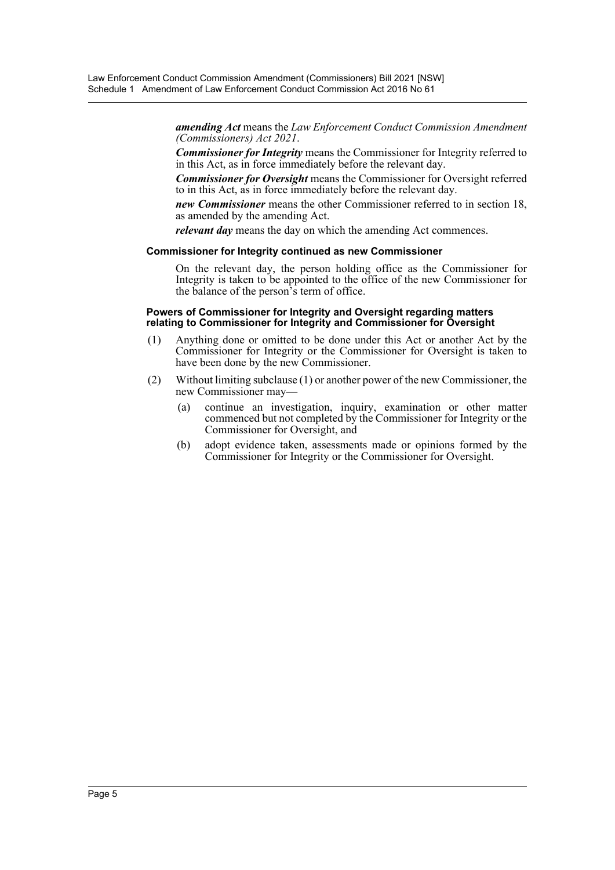*amending Act* means the *Law Enforcement Conduct Commission Amendment (Commissioners) Act 2021*.

*Commissioner for Integrity* means the Commissioner for Integrity referred to in this Act, as in force immediately before the relevant day.

*Commissioner for Oversight* means the Commissioner for Oversight referred to in this Act, as in force immediately before the relevant day.

*new Commissioner* means the other Commissioner referred to in section 18, as amended by the amending Act.

*relevant day* means the day on which the amending Act commences.

#### **Commissioner for Integrity continued as new Commissioner**

On the relevant day, the person holding office as the Commissioner for Integrity is taken to be appointed to the office of the new Commissioner for the balance of the person's term of office.

#### **Powers of Commissioner for Integrity and Oversight regarding matters relating to Commissioner for Integrity and Commissioner for Oversight**

- (1) Anything done or omitted to be done under this Act or another Act by the Commissioner for Integrity or the Commissioner for Oversight is taken to have been done by the new Commissioner.
- (2) Without limiting subclause (1) or another power of the new Commissioner, the new Commissioner may—
	- (a) continue an investigation, inquiry, examination or other matter commenced but not completed by the Commissioner for Integrity or the Commissioner for Oversight, and
	- (b) adopt evidence taken, assessments made or opinions formed by the Commissioner for Integrity or the Commissioner for Oversight.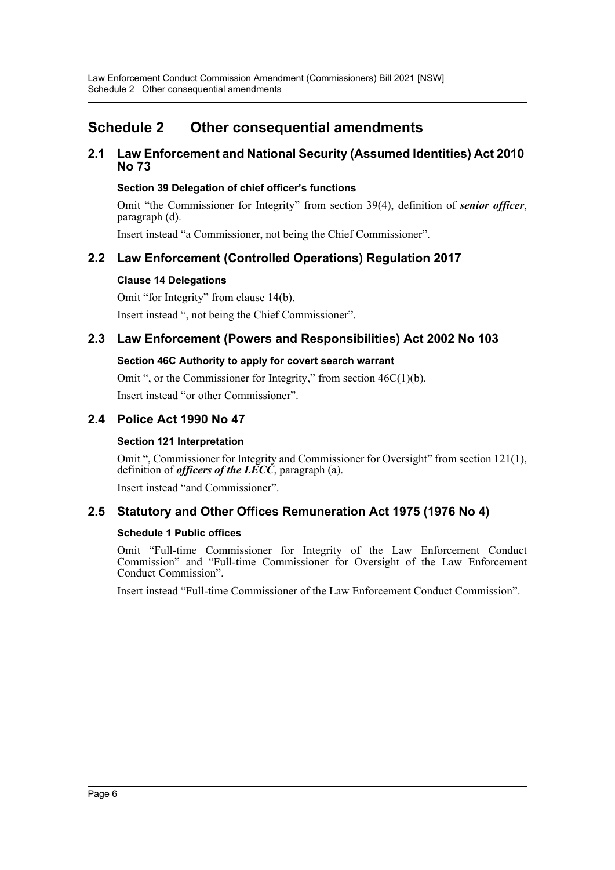# <span id="page-6-0"></span>**Schedule 2 Other consequential amendments**

# **2.1 Law Enforcement and National Security (Assumed Identities) Act 2010 No 73**

# **Section 39 Delegation of chief officer's functions**

Omit "the Commissioner for Integrity" from section 39(4), definition of *senior officer*, paragraph (d).

Insert instead "a Commissioner, not being the Chief Commissioner".

# **2.2 Law Enforcement (Controlled Operations) Regulation 2017**

# **Clause 14 Delegations**

Omit "for Integrity" from clause 14(b). Insert instead ", not being the Chief Commissioner".

# **2.3 Law Enforcement (Powers and Responsibilities) Act 2002 No 103**

# **Section 46C Authority to apply for covert search warrant**

Omit ", or the Commissioner for Integrity," from section 46C(1)(b). Insert instead "or other Commissioner".

# **2.4 Police Act 1990 No 47**

# **Section 121 Interpretation**

Omit ", Commissioner for Integrity and Commissioner for Oversight" from section 121(1), definition of *officers of the LECC*, paragraph (a).

Insert instead "and Commissioner".

# **2.5 Statutory and Other Offices Remuneration Act 1975 (1976 No 4)**

## **Schedule 1 Public offices**

Omit "Full-time Commissioner for Integrity of the Law Enforcement Conduct Commission" and "Full-time Commissioner for Oversight of the Law Enforcement Conduct Commission".

Insert instead "Full-time Commissioner of the Law Enforcement Conduct Commission".